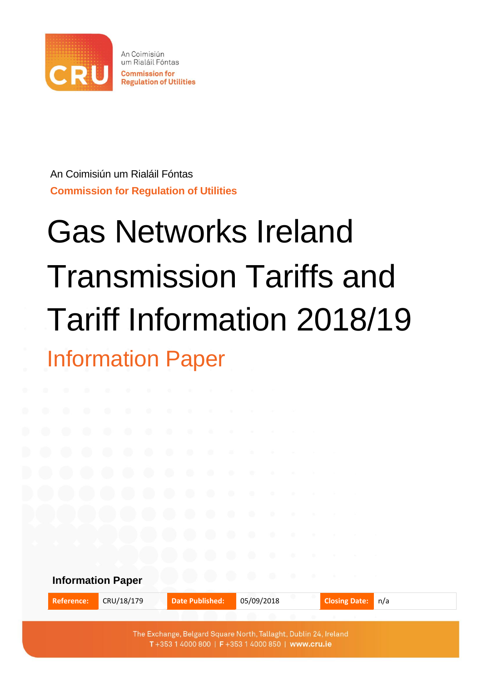

An Coimisiún um Rialáil Fóntas **Commission for Regulation of Utilities** 

An Coimisiún um Rialáil Fóntas **Commission for Regulation of Utilities**

# Gas Networks Ireland Transmission Tariffs and Tariff Information 2018/19 Information Paper

**Information Paper Reference:** CRU/18/179 **Date Published:** 05/09/2018 **Closing Date:** n/a The Exchange, Belgard Square North, Tallaght, Dublin 24, Ireland

T+353 1 4000 800 | F+353 1 4000 850 | www.cru.ie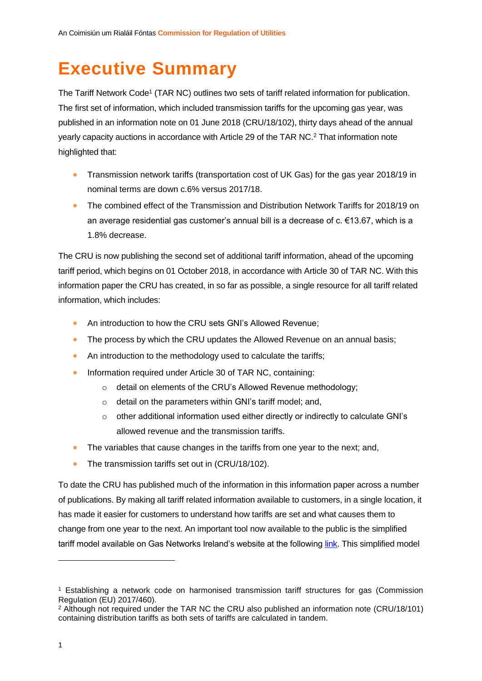# <span id="page-1-0"></span>**Executive Summary**

<span id="page-1-1"></span>The Tariff Network Code<sup>1</sup> (TAR NC) outlines two sets of tariff related information for publication. The first set of information, which included transmission tariffs for the upcoming gas year, was published in an information note on 01 June 2018 (CRU/18/102), thirty days ahead of the annual yearly capacity auctions in accordance with Article 29 of the TAR NC.<sup>2</sup> That information note highlighted that:

- Transmission network tariffs (transportation cost of UK Gas) for the gas year 2018/19 in nominal terms are down c.6% versus 2017/18.
- The combined effect of the Transmission and Distribution Network Tariffs for 2018/19 on an average residential gas customer's annual bill is a decrease of c. €13.67, which is a 1.8% decrease.

The CRU is now publishing the second set of additional tariff information, ahead of the upcoming tariff period, which begins on 01 October 2018, in accordance with Article 30 of TAR NC. With this information paper the CRU has created, in so far as possible, a single resource for all tariff related information, which includes:

- An introduction to how the CRU sets GNI's Allowed Revenue;
- The process by which the CRU updates the Allowed Revenue on an annual basis;
- An introduction to the methodology used to calculate the tariffs;
- Information required under Article 30 of TAR NC, containing:
	- o detail on elements of the CRU's Allowed Revenue methodology;
	- o detail on the parameters within GNI's tariff model; and,
	- $\circ$  other additional information used either directly or indirectly to calculate GNI's allowed revenue and the transmission tariffs.
- The variables that cause changes in the tariffs from one year to the next; and,
- The transmission tariffs set out in (CRU/18/102).

To date the CRU has published much of the information in this information paper across a number of publications. By making all tariff related information available to customers, in a single location, it has made it easier for customers to understand how tariffs are set and what causes them to change from one year to the next. An important tool now available to the public is the simplified tariff model available on Gas Networks Ireland's website at the following [link.](https://www.gasnetworks.ie/corporate/gas-regulation/tariffs/transmission-tariffs/simplified-tariff-model/) This simplified model

<sup>1</sup> Establishing a network code on harmonised transmission tariff structures for gas (Commission Regulation (EU) 2017/460).

<sup>2</sup> Although not required under the TAR NC the CRU also published an information note (CRU/18/101) containing distribution tariffs as both sets of tariffs are calculated in tandem.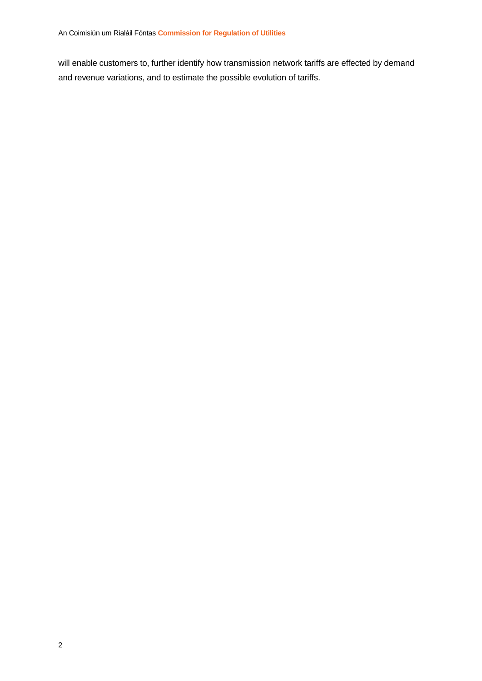will enable customers to, further identify how transmission network tariffs are effected by demand and revenue variations, and to estimate the possible evolution of tariffs.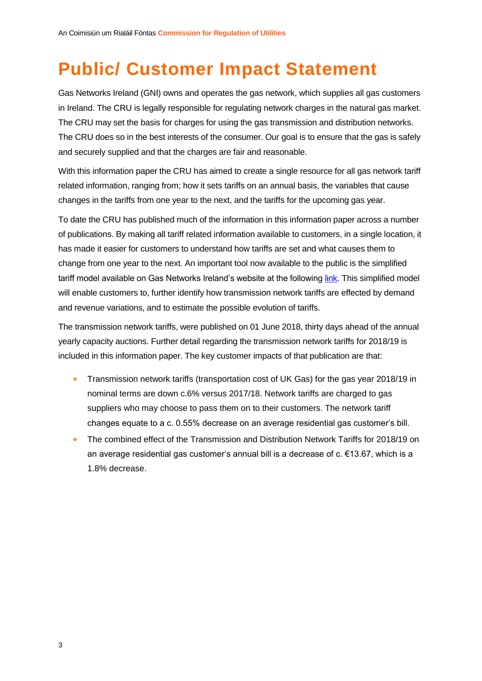# <span id="page-3-0"></span>**Public/ Customer Impact Statement**

Gas Networks Ireland (GNI) owns and operates the gas network, which supplies all gas customers in Ireland. The CRU is legally responsible for regulating network charges in the natural gas market. The CRU may set the basis for charges for using the gas transmission and distribution networks. The CRU does so in the best interests of the consumer. Our goal is to ensure that the gas is safely and securely supplied and that the charges are fair and reasonable.

With this information paper the CRU has aimed to create a single resource for all gas network tariff related information, ranging from; how it sets tariffs on an annual basis, the variables that cause changes in the tariffs from one year to the next, and the tariffs for the upcoming gas year.

To date the CRU has published much of the information in this information paper across a number of publications. By making all tariff related information available to customers, in a single location, it has made it easier for customers to understand how tariffs are set and what causes them to change from one year to the next. An important tool now available to the public is the simplified tariff model available on Gas Networks Ireland's website at the following *link*. This simplified model will enable customers to, further identify how transmission network tariffs are effected by demand and revenue variations, and to estimate the possible evolution of tariffs.

The transmission network tariffs, were published on 01 June 2018, thirty days ahead of the annual yearly capacity auctions. Further detail regarding the transmission network tariffs for 2018/19 is included in this information paper. The key customer impacts of that publication are that:

- Transmission network tariffs (transportation cost of UK Gas) for the gas year 2018/19 in nominal terms are down c.6% versus 2017/18. Network tariffs are charged to gas suppliers who may choose to pass them on to their customers. The network tariff changes equate to a c. 0.55% decrease on an average residential gas customer's bill.
- The combined effect of the Transmission and Distribution Network Tariffs for 2018/19 on an average residential gas customer's annual bill is a decrease of c. €13.67, which is a 1.8% decrease.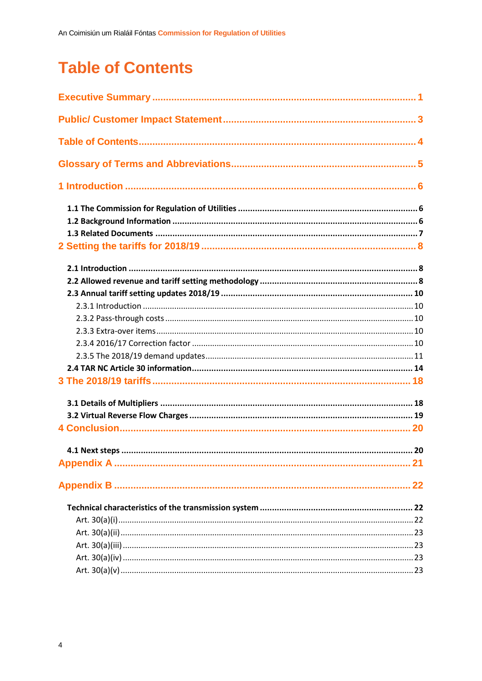# <span id="page-4-0"></span>**Table of Contents**

| 20 |
|----|
|    |
|    |
|    |
|    |
|    |
|    |
|    |
|    |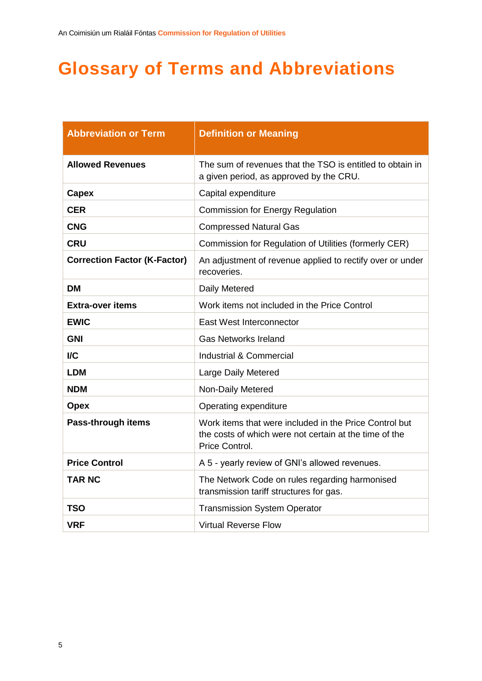# <span id="page-5-0"></span>**Glossary of Terms and Abbreviations**

| <b>Abbreviation or Term</b>         | <b>Definition or Meaning</b>                                                                                                       |
|-------------------------------------|------------------------------------------------------------------------------------------------------------------------------------|
| <b>Allowed Revenues</b>             | The sum of revenues that the TSO is entitled to obtain in<br>a given period, as approved by the CRU.                               |
| Capex                               | Capital expenditure                                                                                                                |
| <b>CER</b>                          | <b>Commission for Energy Regulation</b>                                                                                            |
| <b>CNG</b>                          | <b>Compressed Natural Gas</b>                                                                                                      |
| <b>CRU</b>                          | Commission for Regulation of Utilities (formerly CER)                                                                              |
| <b>Correction Factor (K-Factor)</b> | An adjustment of revenue applied to rectify over or under<br>recoveries.                                                           |
| <b>DM</b>                           | Daily Metered                                                                                                                      |
| <b>Extra-over items</b>             | Work items not included in the Price Control                                                                                       |
| <b>EWIC</b>                         | East West Interconnector                                                                                                           |
| <b>GNI</b>                          | <b>Gas Networks Ireland</b>                                                                                                        |
| <b>I/C</b>                          | Industrial & Commercial                                                                                                            |
| <b>LDM</b>                          | Large Daily Metered                                                                                                                |
| <b>NDM</b>                          | Non-Daily Metered                                                                                                                  |
| <b>Opex</b>                         | Operating expenditure                                                                                                              |
| Pass-through items                  | Work items that were included in the Price Control but<br>the costs of which were not certain at the time of the<br>Price Control. |
| <b>Price Control</b>                | A 5 - yearly review of GNI's allowed revenues.                                                                                     |
| <b>TAR NC</b>                       | The Network Code on rules regarding harmonised<br>transmission tariff structures for gas.                                          |
| <b>TSO</b>                          | <b>Transmission System Operator</b>                                                                                                |
| <b>VRF</b>                          | <b>Virtual Reverse Flow</b>                                                                                                        |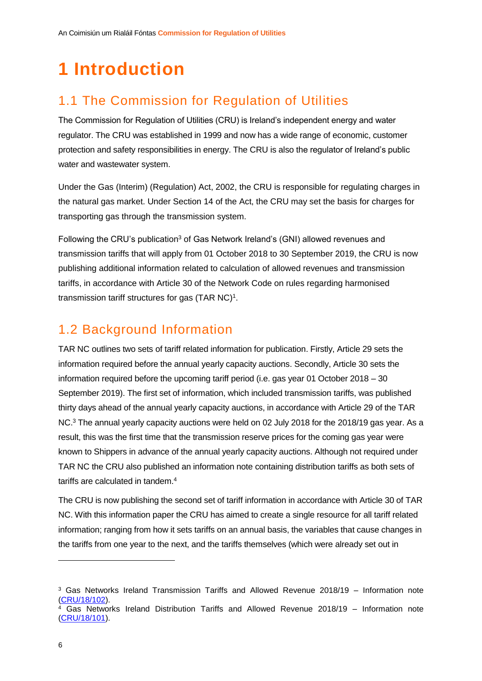# <span id="page-6-0"></span>**1 Introduction**

## <span id="page-6-1"></span>1.1 The Commission for Regulation of Utilities

The Commission for Regulation of Utilities (CRU) is Ireland's independent energy and water regulator. The CRU was established in 1999 and now has a wide range of economic, customer protection and safety responsibilities in energy. The CRU is also the regulator of Ireland's public water and wastewater system.

Under the Gas (Interim) (Regulation) Act, 2002, the CRU is responsible for regulating charges in the natural gas market. Under Section 14 of the Act, the CRU may set the basis for charges for transporting gas through the transmission system.

<span id="page-6-3"></span>Following the CRU's publication<sup>3</sup> of Gas Network Ireland's (GNI) allowed revenues and transmission tariffs that will apply from 01 October 2018 to 30 September 2019, the CRU is now publishing additional information related to calculation of allowed revenues and transmission tariffs, in accordance with Article 30 of the Network Code on rules regarding harmonised transmission tariff structures for gas (TAR  $NC$ )<sup>[1](#page-1-1)</sup>.

### <span id="page-6-2"></span>1.2 Background Information

TAR NC outlines two sets of tariff related information for publication. Firstly, Article 29 sets the information required before the annual yearly capacity auctions. Secondly, Article 30 sets the information required before the upcoming tariff period (i.e. gas year 01 October 2018 – 30 September 2019). The first set of information, which included transmission tariffs, was published thirty days ahead of the annual yearly capacity auctions, in accordance with Article 29 of the TAR NC.[3](#page-6-3) The annual yearly capacity auctions were held on 02 July 2018 for the 2018/19 gas year. As a result, this was the first time that the transmission reserve prices for the coming gas year were known to Shippers in advance of the annual yearly capacity auctions. Although not required under TAR NC the CRU also published an information note containing distribution tariffs as both sets of tariffs are calculated in tandem.<sup>4</sup>

The CRU is now publishing the second set of tariff information in accordance with Article 30 of TAR NC. With this information paper the CRU has aimed to create a single resource for all tariff related information; ranging from how it sets tariffs on an annual basis, the variables that cause changes in the tariffs from one year to the next, and the tariffs themselves (which were already set out in

<sup>3</sup> Gas Networks Ireland Transmission Tariffs and Allowed Revenue 2018/19 – Information note [\(CRU/18/102\)](https://www.cru.ie/wp-content/uploads/2018/06/CRU18102-Gas-Transmission-Tariffs-2018_19.pdf).  $4$  Gas Networks Ireland Distribution Tariffs and Allowed Revenue 2018/19 – Information note

[<sup>\(</sup>CRU/18/101\)](https://www.cru.ie/wp-content/uploads/2018/06/CRU18101-Gas-Distribution-Tariffs-2018_19.pdf).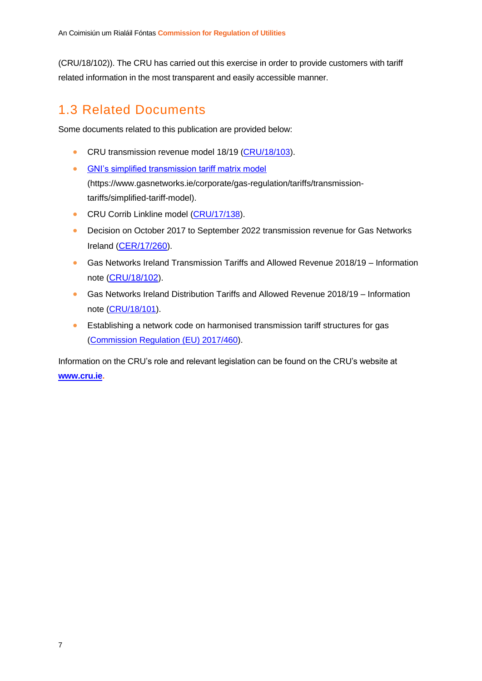(CRU/18/102)). The CRU has carried out this exercise in order to provide customers with tariff related information in the most transparent and easily accessible manner.

### <span id="page-7-0"></span>1.3 Related Documents

Some documents related to this publication are provided below:

- CRU transmission revenue model 18/19 [\(CRU/18/103\)](https://www.cru.ie/document_group/copy-of-gas-networks-ireland-allowed-revenues-and-gas-transmission-tariffs/).
- [GNI's simplified transmission tariff matrix model](https://www.gasnetworks.ie/corporate/gas-regulation/tariffs/transmission-tariffs/simplified-tariff-model/) (https://www.gasnetworks.ie/corporate/gas-regulation/tariffs/transmissiontariffs/simplified-tariff-model).
- **CRU Corrib Linkline model [\(CRU/17/138\)](https://www.cru.ie/document_group/gas-networks-ireland-price-control-4/cer17272-pc4-final-corrib-linkline-element-calculation/).**
- Decision on October 2017 to September 2022 transmission revenue for Gas Networks Ireland ([CER/17/260](https://www.cru.ie/wp-content/uploads/2017/06/CER17260-PC4-CER-Transmission-Decision-Paper.pdf)).
- Gas Networks Ireland Transmission Tariffs and Allowed Revenue 2018/19 Information note ([CRU/18/102](https://www.cru.ie/wp-content/uploads/2018/06/CRU18102-Gas-Transmission-Tariffs-2018_19.pdf)).
- Gas Networks Ireland Distribution Tariffs and Allowed Revenue 2018/19 Information note [\(CRU/18/101\)](https://www.cru.ie/wp-content/uploads/2018/06/CRU18101-Gas-Distribution-Tariffs-2018_19.pdf).
- Establishing a network code on harmonised transmission tariff structures for gas [\(Commission Regulation \(EU\) 2017/460\)](https://eur-lex.europa.eu/legal-content/EN/TXT/PDF/?uri=CELEX:32017R0460&from=EN).

Information on the CRU's role and relevant legislation can be found on the CRU's website at **[www.cru.ie.](http://www.cru.ie/)**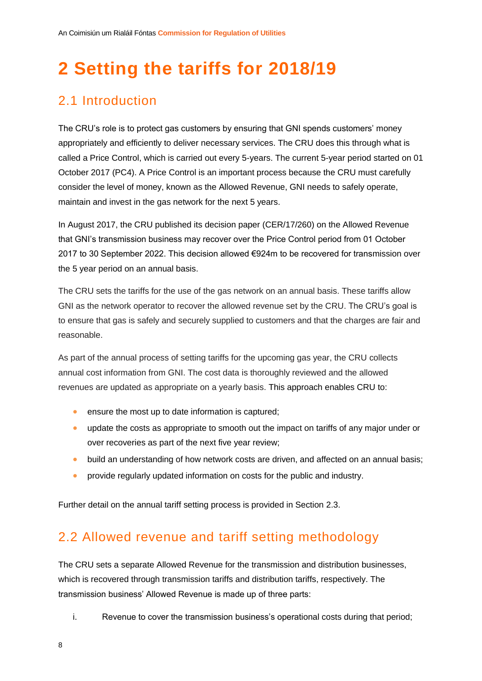# <span id="page-8-0"></span>**2 Setting the tariffs for 2018/19**

### <span id="page-8-1"></span>2.1 Introduction

The CRU's role is to protect gas customers by ensuring that GNI spends customers' money appropriately and efficiently to deliver necessary services. The CRU does this through what is called a Price Control, which is carried out every 5-years. The current 5-year period started on 01 October 2017 (PC4). A Price Control is an important process because the CRU must carefully consider the level of money, known as the Allowed Revenue, GNI needs to safely operate, maintain and invest in the gas network for the next 5 years.

In August 2017, the CRU published its decision paper (CER/17/260) on the Allowed Revenue that GNI's transmission business may recover over the Price Control period from 01 October 2017 to 30 September 2022. This decision allowed €924m to be recovered for transmission over the 5 year period on an annual basis.

The CRU sets the tariffs for the use of the gas network on an annual basis. These tariffs allow GNI as the network operator to recover the allowed revenue set by the CRU. The CRU's goal is to ensure that gas is safely and securely supplied to customers and that the charges are fair and reasonable.

As part of the annual process of setting tariffs for the upcoming gas year, the CRU collects annual cost information from GNI. The cost data is thoroughly reviewed and the allowed revenues are updated as appropriate on a yearly basis. This approach enables CRU to:

- ensure the most up to date information is captured;
- update the costs as appropriate to smooth out the impact on tariffs of any major under or over recoveries as part of the next five year review;
- build an understanding of how network costs are driven, and affected on an annual basis;
- **•** provide regularly updated information on costs for the public and industry.

Further detail on the annual tariff setting process is provided in Section [2.3.](#page-10-0)

### <span id="page-8-2"></span>2.2 Allowed revenue and tariff setting methodology

The CRU sets a separate Allowed Revenue for the transmission and distribution businesses, which is recovered through transmission tariffs and distribution tariffs, respectively. The transmission business' Allowed Revenue is made up of three parts:

i. Revenue to cover the transmission business's operational costs during that period;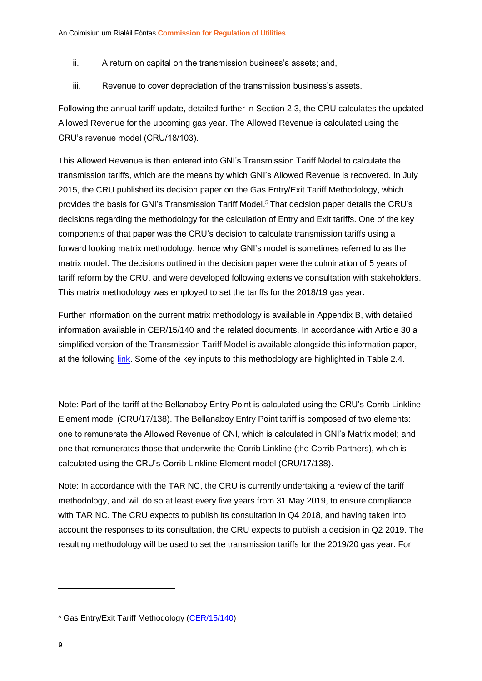- ii. A return on capital on the transmission business's assets; and,
- iii. Revenue to cover depreciation of the transmission business's assets.

Following the annual tariff update, detailed further in Section [2.3,](#page-10-0) the CRU calculates the updated Allowed Revenue for the upcoming gas year. The Allowed Revenue is calculated using the CRU's revenue model (CRU/18/103).

This Allowed Revenue is then entered into GNI's Transmission Tariff Model to calculate the transmission tariffs, which are the means by which GNI's Allowed Revenue is recovered. In July 2015, the CRU published its decision paper on the Gas Entry/Exit Tariff Methodology, which provides the basis for GNI's Transmission Tariff Model. <sup>5</sup> That decision paper details the CRU's decisions regarding the methodology for the calculation of Entry and Exit tariffs. One of the key components of that paper was the CRU's decision to calculate transmission tariffs using a forward looking matrix methodology, hence why GNI's model is sometimes referred to as the matrix model. The decisions outlined in the decision paper were the culmination of 5 years of tariff reform by the CRU, and were developed following extensive consultation with stakeholders. This matrix methodology was employed to set the tariffs for the 2018/19 gas year.

Further information on the current matrix methodology is available in Appendix B, with detailed information available in [CER/15/140](https://www.cru.ie/wp-content/uploads/2015/07/CER15140-Gas-Entry-Exit-Tariff-Methodology-Decision-Paper.pdf) and the related documents. In accordance with Article 30 a simplified version of the Transmission Tariff Model is available alongside this information paper, at the following [link.](https://www.gasnetworks.ie/corporate/gas-regulation/tariffs/transmission-tariffs/simplified-tariff-model/) Some of the key inputs to this methodology are highlighted in [Table 2.4.](#page-15-0)

Note: Part of the tariff at the Bellanaboy Entry Point is calculated using the CRU's Corrib Linkline Element model (CRU/17/138). The Bellanaboy Entry Point tariff is composed of two elements: one to remunerate the Allowed Revenue of GNI, which is calculated in GNI's Matrix model; and one that remunerates those that underwrite the Corrib Linkline (the Corrib Partners), which is calculated using the CRU's Corrib Linkline Element model (CRU/17/138).

Note: In accordance with the TAR NC, the CRU is currently undertaking a review of the tariff methodology, and will do so at least every five years from 31 May 2019, to ensure compliance with TAR NC. The CRU expects to publish its consultation in Q4 2018, and having taken into account the responses to its consultation, the CRU expects to publish a decision in Q2 2019. The resulting methodology will be used to set the transmission tariffs for the 2019/20 gas year. For

<sup>5</sup> Gas Entry/Exit Tariff Methodology [\(CER/15/140\)](https://www.cru.ie/wp-content/uploads/2015/07/CER15140-Gas-Entry-Exit-Tariff-Methodology-Decision-Paper.pdf)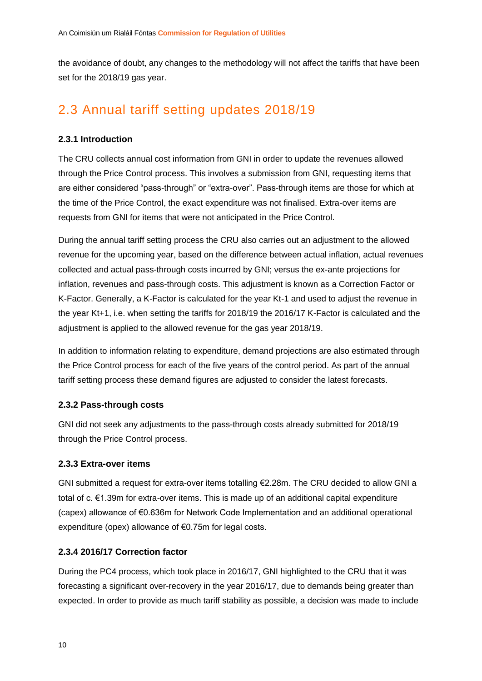the avoidance of doubt, any changes to the methodology will not affect the tariffs that have been set for the 2018/19 gas year.

### <span id="page-10-0"></span>2.3 Annual tariff setting updates 2018/19

#### <span id="page-10-1"></span>**2.3.1 Introduction**

The CRU collects annual cost information from GNI in order to update the revenues allowed through the Price Control process. This involves a submission from GNI, requesting items that are either considered "pass-through" or "extra-over". Pass-through items are those for which at the time of the Price Control, the exact expenditure was not finalised. Extra-over items are requests from GNI for items that were not anticipated in the Price Control.

During the annual tariff setting process the CRU also carries out an adjustment to the allowed revenue for the upcoming year, based on the difference between actual inflation, actual revenues collected and actual pass-through costs incurred by GNI; versus the ex-ante projections for inflation, revenues and pass-through costs. This adjustment is known as a Correction Factor or K-Factor. Generally, a K-Factor is calculated for the year Kt-1 and used to adjust the revenue in the year Kt+1, i.e. when setting the tariffs for 2018/19 the 2016/17 K-Factor is calculated and the adjustment is applied to the allowed revenue for the gas year 2018/19.

In addition to information relating to expenditure, demand projections are also estimated through the Price Control process for each of the five years of the control period. As part of the annual tariff setting process these demand figures are adjusted to consider the latest forecasts.

#### <span id="page-10-2"></span>**2.3.2 Pass-through costs**

GNI did not seek any adjustments to the pass-through costs already submitted for 2018/19 through the Price Control process.

#### <span id="page-10-3"></span>**2.3.3 Extra-over items**

GNI submitted a request for extra-over items totalling €2.28m. The CRU decided to allow GNI a total of c. €1.39m for extra-over items. This is made up of an additional capital expenditure (capex) allowance of €0.636m for Network Code Implementation and an additional operational expenditure (opex) allowance of €0.75m for legal costs.

#### <span id="page-10-4"></span>**2.3.4 2016/17 Correction factor**

During the PC4 process, which took place in 2016/17, GNI highlighted to the CRU that it was forecasting a significant over-recovery in the year 2016/17, due to demands being greater than expected. In order to provide as much tariff stability as possible, a decision was made to include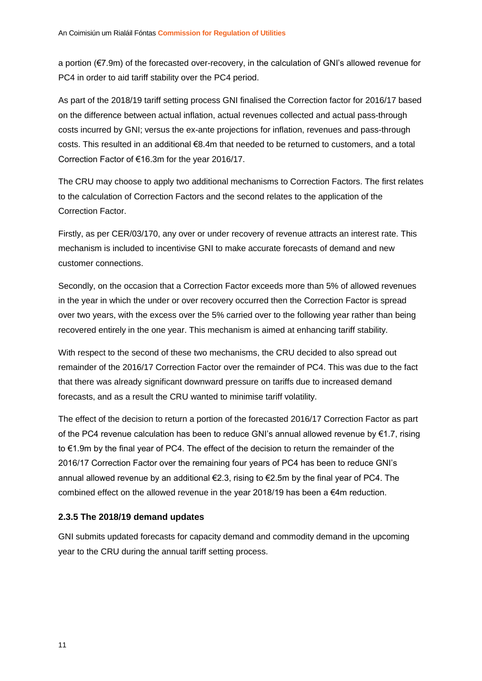a portion (€7.9m) of the forecasted over-recovery, in the calculation of GNI's allowed revenue for PC4 in order to aid tariff stability over the PC4 period.

As part of the 2018/19 tariff setting process GNI finalised the Correction factor for 2016/17 based on the difference between actual inflation, actual revenues collected and actual pass-through costs incurred by GNI; versus the ex-ante projections for inflation, revenues and pass-through costs. This resulted in an additional €8.4m that needed to be returned to customers, and a total Correction Factor of €16.3m for the year 2016/17.

The CRU may choose to apply two additional mechanisms to Correction Factors. The first relates to the calculation of Correction Factors and the second relates to the application of the Correction Factor.

Firstly, as per CER/03/170, any over or under recovery of revenue attracts an interest rate. This mechanism is included to incentivise GNI to make accurate forecasts of demand and new customer connections.

Secondly, on the occasion that a Correction Factor exceeds more than 5% of allowed revenues in the year in which the under or over recovery occurred then the Correction Factor is spread over two years, with the excess over the 5% carried over to the following year rather than being recovered entirely in the one year. This mechanism is aimed at enhancing tariff stability.

With respect to the second of these two mechanisms, the CRU decided to also spread out remainder of the 2016/17 Correction Factor over the remainder of PC4. This was due to the fact that there was already significant downward pressure on tariffs due to increased demand forecasts, and as a result the CRU wanted to minimise tariff volatility.

The effect of the decision to return a portion of the forecasted 2016/17 Correction Factor as part of the PC4 revenue calculation has been to reduce GNI's annual allowed revenue by €1.7, rising to €1.9m by the final year of PC4. The effect of the decision to return the remainder of the 2016/17 Correction Factor over the remaining four years of PC4 has been to reduce GNI's annual allowed revenue by an additional  $\epsilon$ 2.3, rising to  $\epsilon$ 2.5m by the final year of PC4. The combined effect on the allowed revenue in the year 2018/19 has been a  $\epsilon$ 4m reduction.

#### <span id="page-11-0"></span>**2.3.5 The 2018/19 demand updates**

GNI submits updated forecasts for capacity demand and commodity demand in the upcoming year to the CRU during the annual tariff setting process.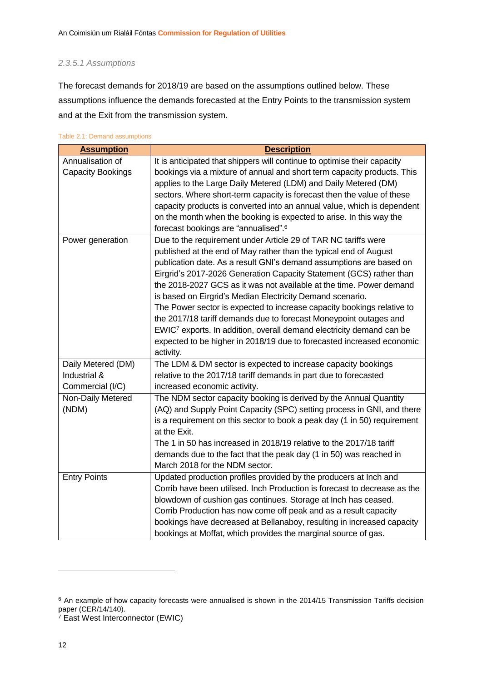#### *2.3.5.1 Assumptions*

The forecast demands for 2018/19 are based on the assumptions outlined below. These assumptions influence the demands forecasted at the Entry Points to the transmission system and at the Exit from the transmission system.

| <b>Assumption</b>   | <b>Description</b>                                                                                                                                    |
|---------------------|-------------------------------------------------------------------------------------------------------------------------------------------------------|
| Annualisation of    | It is anticipated that shippers will continue to optimise their capacity                                                                              |
| Capacity Bookings   | bookings via a mixture of annual and short term capacity products. This                                                                               |
|                     | applies to the Large Daily Metered (LDM) and Daily Metered (DM)                                                                                       |
|                     | sectors. Where short-term capacity is forecast then the value of these                                                                                |
|                     | capacity products is converted into an annual value, which is dependent                                                                               |
|                     | on the month when the booking is expected to arise. In this way the                                                                                   |
|                     | forecast bookings are "annualised". <sup>6</sup>                                                                                                      |
| Power generation    | Due to the requirement under Article 29 of TAR NC tariffs were                                                                                        |
|                     | published at the end of May rather than the typical end of August                                                                                     |
|                     | publication date. As a result GNI's demand assumptions are based on                                                                                   |
|                     | Eirgrid's 2017-2026 Generation Capacity Statement (GCS) rather than                                                                                   |
|                     | the 2018-2027 GCS as it was not available at the time. Power demand                                                                                   |
|                     | is based on Eirgrid's Median Electricity Demand scenario.                                                                                             |
|                     | The Power sector is expected to increase capacity bookings relative to                                                                                |
|                     | the 2017/18 tariff demands due to forecast Moneypoint outages and<br>EWIC <sup>7</sup> exports. In addition, overall demand electricity demand can be |
|                     | expected to be higher in 2018/19 due to forecasted increased economic                                                                                 |
|                     | activity.                                                                                                                                             |
| Daily Metered (DM)  | The LDM & DM sector is expected to increase capacity bookings                                                                                         |
| Industrial &        | relative to the 2017/18 tariff demands in part due to forecasted                                                                                      |
| Commercial (I/C)    | increased economic activity.                                                                                                                          |
| Non-Daily Metered   | The NDM sector capacity booking is derived by the Annual Quantity                                                                                     |
| (NDM)               | (AQ) and Supply Point Capacity (SPC) setting process in GNI, and there                                                                                |
|                     | is a requirement on this sector to book a peak day (1 in 50) requirement                                                                              |
|                     | at the Exit.                                                                                                                                          |
|                     | The 1 in 50 has increased in 2018/19 relative to the 2017/18 tariff                                                                                   |
|                     | demands due to the fact that the peak day (1 in 50) was reached in                                                                                    |
|                     | March 2018 for the NDM sector.                                                                                                                        |
| <b>Entry Points</b> | Updated production profiles provided by the producers at Inch and                                                                                     |
|                     | Corrib have been utilised. Inch Production is forecast to decrease as the                                                                             |
|                     | blowdown of cushion gas continues. Storage at Inch has ceased.                                                                                        |
|                     | Corrib Production has now come off peak and as a result capacity                                                                                      |
|                     | bookings have decreased at Bellanaboy, resulting in increased capacity                                                                                |
|                     | bookings at Moffat, which provides the marginal source of gas.                                                                                        |

#### <span id="page-12-0"></span>Table 2.1: Demand assumptions

 $\overline{a}$ 

<sup>6</sup> An example of how capacity forecasts were annualised is shown in the 2014/15 Transmission Tariffs decision paper [\(CER/14/140\)](https://www.cru.ie/wp-content/uploads/2014/07/CER14140-Decision-on-BGN-Allowed-Revenies-and-Gas-Transmission-Tariffs-for-2014-15.pdf).

<sup>7</sup> East West Interconnector (EWIC)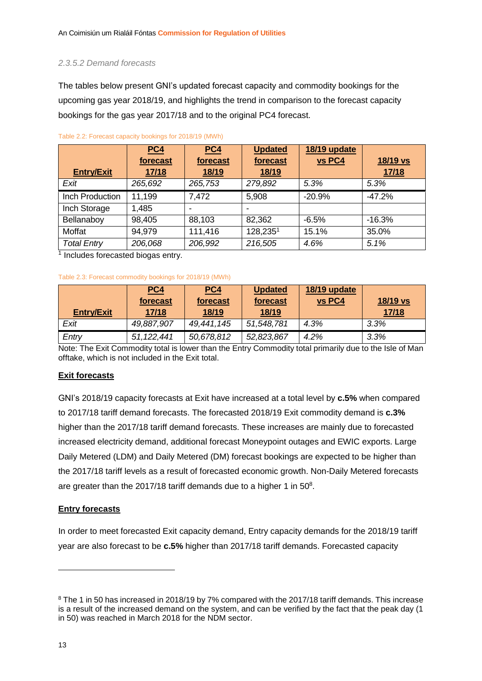#### *2.3.5.2 Demand forecasts*

The tables below present GNI's updated forecast capacity and commodity bookings for the upcoming gas year 2018/19, and highlights the trend in comparison to the forecast capacity bookings for the gas year 2017/18 and to the original PC4 forecast.

|                          | PC4      | PC4      | <b>Updated</b>           | 18/19 update |          |
|--------------------------|----------|----------|--------------------------|--------------|----------|
|                          | forecast | forecast | forecast                 | vs PC4       | 18/19 vs |
| <b>Entry/Exit</b>        | 17/18    | 18/19    | 18/19                    |              | 17/18    |
| Exit                     | 265,692  | 265,753  | 279,892                  | 5.3%         | 5.3%     |
| Inch Production          | 11,199   | 7,472    | 5,908                    | $-20.9%$     | $-47.2%$ |
| Inch Storage             | 1,485    |          | $\overline{\phantom{0}}$ |              |          |
| Bellanaboy               | 98,405   | 88,103   | 82,362                   | $-6.5%$      | $-16.3%$ |
| Moffat                   | 94,979   | 111,416  | 128,2351                 | 15.1%        | 35.0%    |
| <b>Total Entry</b><br>4. | 206,068  | 206,992  | 216,505                  | 4.6%         | 5.1%     |

<span id="page-13-0"></span>Table 2.2: Forecast capacity bookings for 2018/19 (MWh)

<sup>1</sup> Includes forecasted biogas entry.

#### Table 2.3: Forecast commodity bookings for 2018/19 (MWh)

|                   | <u>PC4</u><br>forecast | PC4<br>forecast | <b>Updated</b><br>forecast | 18/19 update<br>vs PC4 | 18/19 vs     |
|-------------------|------------------------|-----------------|----------------------------|------------------------|--------------|
| <b>Entry/Exit</b> | 17/18                  | 18/19           | 18/19                      |                        | <u>17/18</u> |
| Exit              | 49,887,907             | 49,441,145      | 51,548,781                 | 4.3%                   | 3.3%         |
| Entry             | 51, 122, 441           | 50,678,812      | 52,823,867                 | 4.2%                   | 3.3%         |

Note: The Exit Commodity total is lower than the Entry Commodity total primarily due to the Isle of Man offtake, which is not included in the Exit total.

#### **Exit forecasts**

GNI's 2018/19 capacity forecasts at Exit have increased at a total level by **c.5%** when compared to 2017/18 tariff demand forecasts. The forecasted 2018/19 Exit commodity demand is **c.3%**  higher than the 2017/18 tariff demand forecasts. These increases are mainly due to forecasted increased electricity demand, additional forecast Moneypoint outages and EWIC exports. Large Daily Metered (LDM) and Daily Metered (DM) forecast bookings are expected to be higher than the 2017/18 tariff levels as a result of forecasted economic growth. Non-Daily Metered forecasts are greater than the 2017/18 tariff demands due to a higher 1 in  $50^8$ .

#### **Entry forecasts**

In order to meet forecasted Exit capacity demand, Entry capacity demands for the 2018/19 tariff year are also forecast to be **c.5%** higher than 2017/18 tariff demands. Forecasted capacity

<sup>&</sup>lt;sup>8</sup> The 1 in 50 has increased in 2018/19 by 7% compared with the 2017/18 tariff demands. This increase is a result of the increased demand on the system, and can be verified by the fact that the peak day (1 in 50) was reached in March 2018 for the NDM sector.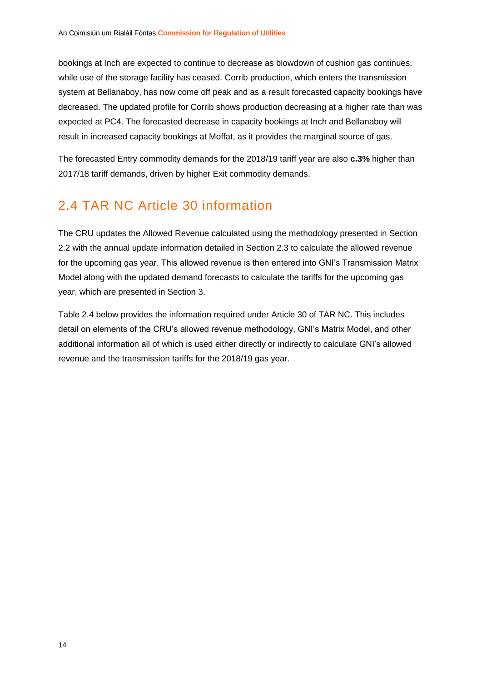bookings at Inch are expected to continue to decrease as blowdown of cushion gas continues, while use of the storage facility has ceased. Corrib production, which enters the transmission system at Bellanaboy, has now come off peak and as a result forecasted capacity bookings have decreased. The updated profile for Corrib shows production decreasing at a higher rate than was expected at PC4. The forecasted decrease in capacity bookings at Inch and Bellanaboy will result in increased capacity bookings at Moffat, as it provides the marginal source of gas.

The forecasted Entry commodity demands for the 2018/19 tariff year are also **c.3%** higher than 2017/18 tariff demands, driven by higher Exit commodity demands.

### <span id="page-14-0"></span>2.4 TAR NC Article 30 information

The CRU updates the Allowed Revenue calculated using the methodology presented in Section [2.2](#page-8-2) with the annual update information detailed in Section [2.3](#page-10-0) to calculate the allowed revenue for the upcoming gas year. This allowed revenue is then entered into GNI's Transmission Matrix Model along with the updated demand forecasts to calculate the tariffs for the upcoming gas year, which are presented in Section [3.](#page-18-0)

[Table 2.4](#page-15-0) below provides the information required under Article 30 of TAR NC. This includes detail on elements of the CRU's allowed revenue methodology, GNI's Matrix Model, and other additional information all of which is used either directly or indirectly to calculate GNI's allowed revenue and the transmission tariffs for the 2018/19 gas year.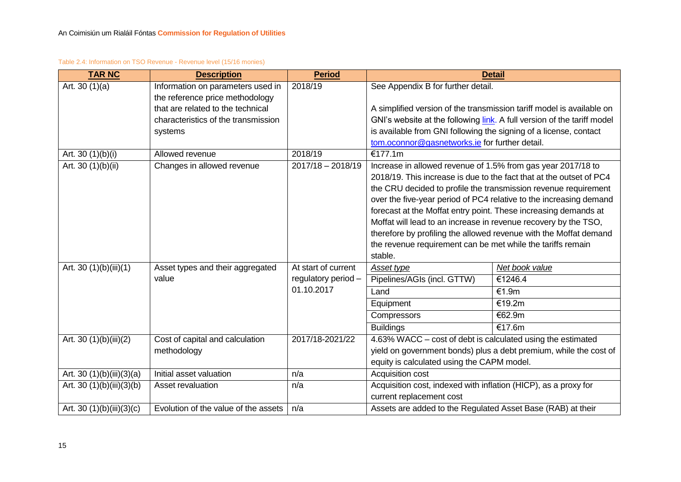#### Table 2.4: Information on TSO Revenue - Revenue level (15/16 monies)

<span id="page-15-0"></span>

| <b>TAR NC</b>             | <b>Description</b>                   | <b>Period</b>       |                                                                   | <b>Detail</b>                                                           |
|---------------------------|--------------------------------------|---------------------|-------------------------------------------------------------------|-------------------------------------------------------------------------|
| Art. $30(1)(a)$           | Information on parameters used in    | 2018/19             | See Appendix B for further detail.                                |                                                                         |
|                           | the reference price methodology      |                     |                                                                   |                                                                         |
|                           | that are related to the technical    |                     |                                                                   | A simplified version of the transmission tariff model is available on   |
|                           | characteristics of the transmission  |                     |                                                                   | GNI's website at the following link. A full version of the tariff model |
|                           | systems                              |                     | is available from GNI following the signing of a license, contact |                                                                         |
|                           |                                      |                     | tom.oconnor@gasnetworks.ie for further detail.                    |                                                                         |
| Art. 30 (1)(b)(i)         | Allowed revenue                      | 2018/19             | €177.1m                                                           |                                                                         |
| Art. 30 (1)(b)(ii)        | Changes in allowed revenue           | $2017/18 - 2018/19$ | Increase in allowed revenue of 1.5% from gas year 2017/18 to      |                                                                         |
|                           |                                      |                     |                                                                   | 2018/19. This increase is due to the fact that at the outset of PC4     |
|                           |                                      |                     |                                                                   | the CRU decided to profile the transmission revenue requirement         |
|                           |                                      |                     |                                                                   | over the five-year period of PC4 relative to the increasing demand      |
|                           |                                      |                     |                                                                   | forecast at the Moffat entry point. These increasing demands at         |
|                           |                                      |                     |                                                                   | Moffat will lead to an increase in revenue recovery by the TSO,         |
|                           |                                      |                     |                                                                   | therefore by profiling the allowed revenue with the Moffat demand       |
|                           |                                      |                     | the revenue requirement can be met while the tariffs remain       |                                                                         |
|                           |                                      |                     | stable.                                                           |                                                                         |
| Art. 30 (1)(b)(iii)(1)    | Asset types and their aggregated     | At start of current | Asset type                                                        | Net book value                                                          |
|                           | value                                | regulatory period - | Pipelines/AGIs (incl. GTTW)                                       | €1246.4                                                                 |
|                           |                                      | 01.10.2017          | Land                                                              | €1.9m                                                                   |
|                           |                                      |                     | Equipment                                                         | €19.2m                                                                  |
|                           |                                      |                     | Compressors                                                       | €62.9m                                                                  |
|                           |                                      |                     | <b>Buildings</b>                                                  | €17.6m                                                                  |
| Art. 30 (1)(b)(iii)(2)    | Cost of capital and calculation      | 2017/18-2021/22     | 4.63% WACC – cost of debt is calculated using the estimated       |                                                                         |
|                           | methodology                          |                     |                                                                   | yield on government bonds) plus a debt premium, while the cost of       |
|                           |                                      |                     | equity is calculated using the CAPM model.                        |                                                                         |
| Art. 30 (1)(b)(iii)(3)(a) | Initial asset valuation              | n/a                 | Acquisition cost                                                  |                                                                         |
| Art. 30 (1)(b)(iii)(3)(b) | Asset revaluation                    | n/a                 | Acquisition cost, indexed with inflation (HICP), as a proxy for   |                                                                         |
|                           |                                      |                     | current replacement cost                                          |                                                                         |
| Art. 30 (1)(b)(iii)(3)(c) | Evolution of the value of the assets | n/a                 | Assets are added to the Regulated Asset Base (RAB) at their       |                                                                         |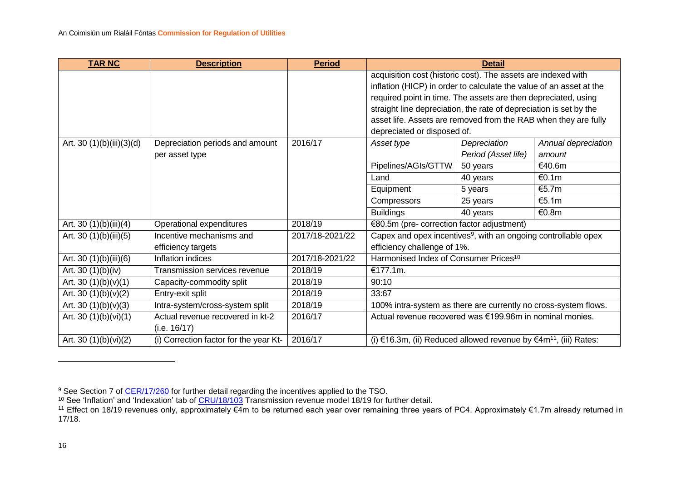| <b>TAR NC</b>             | <b>Description</b>                     | <b>Period</b>   | <b>Detail</b>                                                              |                     |                     |
|---------------------------|----------------------------------------|-----------------|----------------------------------------------------------------------------|---------------------|---------------------|
|                           |                                        |                 | acquisition cost (historic cost). The assets are indexed with              |                     |                     |
|                           |                                        |                 | inflation (HICP) in order to calculate the value of an asset at the        |                     |                     |
|                           |                                        |                 | required point in time. The assets are then depreciated, using             |                     |                     |
|                           |                                        |                 | straight line depreciation, the rate of depreciation is set by the         |                     |                     |
|                           |                                        |                 | asset life. Assets are removed from the RAB when they are fully            |                     |                     |
|                           |                                        |                 | depreciated or disposed of.                                                |                     |                     |
| Art. 30 (1)(b)(iii)(3)(d) | Depreciation periods and amount        | 2016/17         | Asset type                                                                 | Depreciation        | Annual depreciation |
|                           | per asset type                         |                 |                                                                            | Period (Asset life) | amount              |
|                           |                                        |                 | Pipelines/AGIs/GTTW                                                        | 50 years            | €40.6m              |
|                           |                                        |                 | Land                                                                       | 40 years            | €0.1m               |
|                           |                                        |                 | Equipment                                                                  | 5 years             | €5.7m               |
|                           |                                        |                 | Compressors                                                                | 25 years            | €5.1m               |
|                           |                                        |                 | <b>Buildings</b>                                                           | 40 years            | €0.8m               |
| Art. 30 (1)(b)(iii)(4)    | Operational expenditures               | 2018/19         | €80.5m (pre- correction factor adjustment)                                 |                     |                     |
| Art. 30 $(1)(b)(iii)(5)$  | Incentive mechanisms and               | 2017/18-2021/22 | Capex and opex incentives <sup>9</sup> , with an ongoing controllable opex |                     |                     |
|                           | efficiency targets                     |                 | efficiency challenge of 1%.                                                |                     |                     |
| Art. 30 (1)(b)(iii)(6)    | Inflation indices                      | 2017/18-2021/22 | Harmonised Index of Consumer Prices <sup>10</sup>                          |                     |                     |
| Art. 30 (1)(b)(iv)        | Transmission services revenue          | 2018/19         | €177.1m.                                                                   |                     |                     |
| Art. 30 $(1)(b)(v)(1)$    | Capacity-commodity split               | 2018/19         | 90:10                                                                      |                     |                     |
| Art. 30 $(1)(b)(v)(2)$    | Entry-exit split                       | 2018/19         | 33:67                                                                      |                     |                     |
| Art. 30 $(1)(b)(v)(3)$    | Intra-system/cross-system split        | 2018/19         | 100% intra-system as there are currently no cross-system flows.            |                     |                     |
| Art. 30 (1)(b)(vi)(1)     | Actual revenue recovered in kt-2       | 2016/17         | Actual revenue recovered was €199.96m in nominal monies.                   |                     |                     |
|                           | (i.e. 16/17)                           |                 |                                                                            |                     |                     |
| Art. 30 (1)(b)(vi)(2)     | (i) Correction factor for the year Kt- | 2016/17         | (i) €16.3m, (ii) Reduced allowed revenue by $€4m^{11}$ , (iii) Rates:      |                     |                     |

 $\overline{a}$ 

<sup>&</sup>lt;sup>9</sup> See Section 7 of <u>CER/17/260</u> for further detail regarding the incentives applied to the TSO.

<sup>&</sup>lt;sup>10</sup> See 'Inflation' and 'Indexation' tab of <u>CRU/18/103</u> Transmission revenue model 18/19 for further detail.

<sup>11</sup> Effect on 18/19 revenues only, approximately €4m to be returned each year over remaining three years of PC4. Approximately €1.7m already returned in 17/18.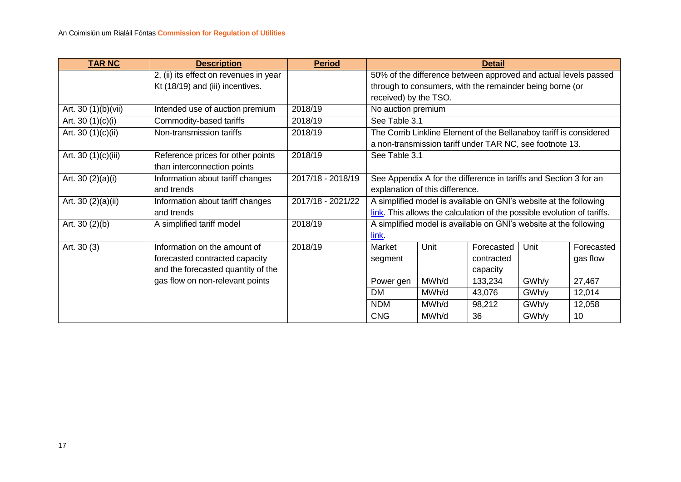| <b>TAR NC</b>        | <b>Description</b>                     | <b>Period</b>     |                                                                         |                                 | <b>Detail</b>                                                      |       |            |
|----------------------|----------------------------------------|-------------------|-------------------------------------------------------------------------|---------------------------------|--------------------------------------------------------------------|-------|------------|
|                      | 2, (ii) its effect on revenues in year |                   | 50% of the difference between approved and actual levels passed         |                                 |                                                                    |       |            |
|                      | Kt (18/19) and (iii) incentives.       |                   |                                                                         |                                 | through to consumers, with the remainder being borne (or           |       |            |
|                      |                                        |                   | received) by the TSO.                                                   |                                 |                                                                    |       |            |
| Art. 30 (1)(b)(vii)  | Intended use of auction premium        | 2018/19           | No auction premium                                                      |                                 |                                                                    |       |            |
| Art. 30 $(1)(c)(i)$  | Commodity-based tariffs                | 2018/19           | See Table 3.1                                                           |                                 |                                                                    |       |            |
| Art. 30 $(1)(c)(ii)$ | Non-transmission tariffs               | 2018/19           |                                                                         |                                 | The Corrib Linkline Element of the Bellanaboy tariff is considered |       |            |
|                      |                                        |                   |                                                                         |                                 | a non-transmission tariff under TAR NC, see footnote 13.           |       |            |
| Art. 30 (1)(c)(iii)  | Reference prices for other points      | 2018/19           | See Table 3.1                                                           |                                 |                                                                    |       |            |
|                      | than interconnection points            |                   |                                                                         |                                 |                                                                    |       |            |
| Art. 30 $(2)(a)(i)$  | Information about tariff changes       | 2017/18 - 2018/19 |                                                                         |                                 | See Appendix A for the difference in tariffs and Section 3 for an  |       |            |
|                      | and trends                             |                   |                                                                         | explanation of this difference. |                                                                    |       |            |
| Art. 30 (2)(a)(ii)   | Information about tariff changes       | 2017/18 - 2021/22 |                                                                         |                                 | A simplified model is available on GNI's website at the following  |       |            |
|                      | and trends                             |                   | link. This allows the calculation of the possible evolution of tariffs. |                                 |                                                                    |       |            |
| Art. $30(2)(b)$      | A simplified tariff model              | 2018/19           |                                                                         |                                 | A simplified model is available on GNI's website at the following  |       |            |
|                      |                                        |                   | link.                                                                   |                                 |                                                                    |       |            |
| Art. 30 (3)          | Information on the amount of           | 2018/19           | Market                                                                  | Unit                            | Forecasted                                                         | Unit  | Forecasted |
|                      | forecasted contracted capacity         |                   | segment                                                                 |                                 | contracted                                                         |       | gas flow   |
|                      | and the forecasted quantity of the     |                   |                                                                         |                                 | capacity                                                           |       |            |
|                      | gas flow on non-relevant points        |                   | Power gen                                                               | MWh/d                           | 133,234                                                            | GWh/y | 27,467     |
|                      |                                        |                   | <b>DM</b>                                                               | MWh/d                           | 43,076                                                             | GWh/y | 12,014     |
|                      |                                        |                   | <b>NDM</b>                                                              | MWh/d                           | 98,212                                                             | GWh/y | 12,058     |
|                      |                                        |                   | <b>CNG</b>                                                              | MWh/d                           | 36                                                                 | GWh/y | 10         |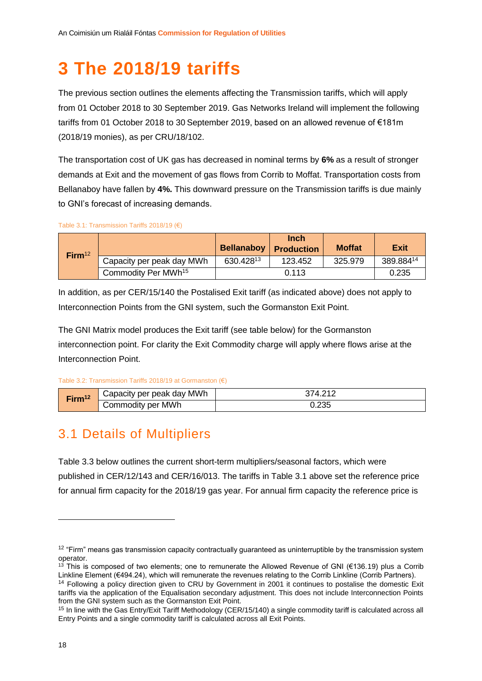# <span id="page-18-3"></span><span id="page-18-2"></span><span id="page-18-0"></span>**3 The 2018/19 tariffs**

The previous section outlines the elements affecting the Transmission tariffs, which will apply from 01 October 2018 to 30 September 2019. Gas Networks Ireland will implement the following tariffs from 01 October 2018 to 30 September 2019, based on an allowed revenue of €181m (2018/19 monies), as per CRU/18/102.

The transportation cost of UK gas has decreased in nominal terms by **6%** as a result of stronger demands at Exit and the movement of gas flows from Corrib to Moffat. Transportation costs from Bellanaboy have fallen by **4%.** This downward pressure on the Transmission tariffs is due mainly to GNI's forecast of increasing demands.

<span id="page-18-5"></span>Table 3.1: Transmission Tariffs 2018/19 (€)

<span id="page-18-4"></span>

| Firm <sup>12</sup> |                                 | <b>Bellanaboy</b> | <b>Inch</b><br><b>Production</b> | <b>Moffat</b> | <b>Exit</b>           |
|--------------------|---------------------------------|-------------------|----------------------------------|---------------|-----------------------|
|                    | Capacity per peak day MWh       | 630.42813         | 123.452                          | 325.979       | 389.884 <sup>14</sup> |
|                    | Commodity Per MWh <sup>15</sup> |                   | 0.113                            |               | 0.235                 |

In addition, as per CER/15/140 the Postalised Exit tariff (as indicated above) does not apply to Interconnection Points from the GNI system, such the Gormanston Exit Point.

The GNI Matrix model produces the Exit tariff (see table below) for the Gormanston interconnection point. For clarity the Exit Commodity charge will apply where flows arise at the Interconnection Point.

#### Table 3.2: Transmission Tariffs 2018/19 at Gormanston (€)

| Firm <sup>12</sup> | Capacity per peak day MWh |       |
|--------------------|---------------------------|-------|
|                    | Commodity per MWh         | 0.235 |

### <span id="page-18-1"></span>3.1 Details of Multipliers

[Table 3.3](#page-19-1) below outlines the current short-term multipliers/seasonal factors, which were published in CER/12/143 and CER/16/013. The tariffs in [Table 3.1](#page-18-5) above set the reference price for annual firm capacity for the 2018/19 gas year. For annual firm capacity the reference price is

 $12$  "Firm" means gas transmission capacity contractually guaranteed as uninterruptible by the transmission system operator.

<sup>&</sup>lt;sup>13</sup> This is composed of two elements; one to remunerate the Allowed Revenue of GNI (€136.19) plus a Corrib Linkline Element (€494.24), which will remunerate the revenues relating to the Corrib Linkline (Corrib Partners).

<sup>&</sup>lt;sup>14</sup> Following a policy direction given to CRU by Government in 2001 it continues to postalise the domestic Exit tariffs via the application of the Equalisation secondary adjustment. This does not include Interconnection Points from the GNI system such as the Gormanston Exit Point.

<sup>&</sup>lt;sup>15</sup> In line with the Gas Entry/Exit Tariff Methodology (CER/15/140) a single commodity tariff is calculated across all Entry Points and a single commodity tariff is calculated across all Exit Points.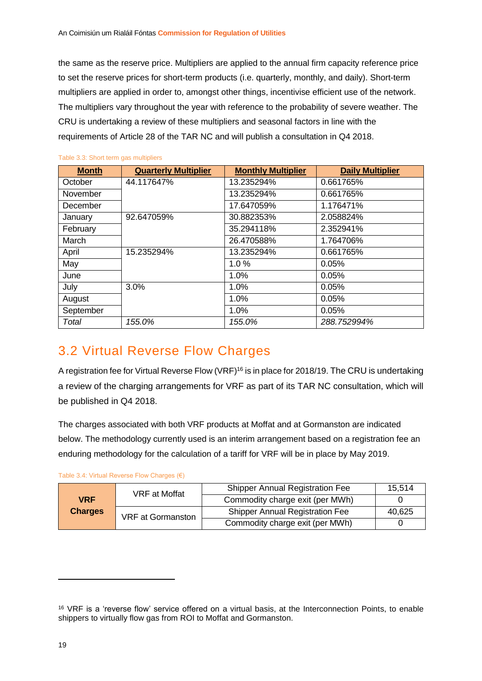the same as the reserve price. Multipliers are applied to the annual firm capacity reference price to set the reserve prices for short-term products (i.e. quarterly, monthly, and daily). Short-term multipliers are applied in order to, amongst other things, incentivise efficient use of the network. The multipliers vary throughout the year with reference to the probability of severe weather. The CRU is undertaking a review of these multipliers and seasonal factors in line with the requirements of Article 28 of the TAR NC and will publish a consultation in Q4 2018.

| <b>Month</b> | <b>Quarterly Multiplier</b> | <b>Monthly Multiplier</b> | <b>Daily Multiplier</b> |
|--------------|-----------------------------|---------------------------|-------------------------|
| October      | 44.117647%                  | 13.235294%                | 0.661765%               |
| November     |                             | 13.235294%                | 0.661765%               |
| December     |                             | 17.647059%                | 1.176471%               |
| January      | 92.647059%                  | 30.882353%                | 2.058824%               |
| February     |                             | 35.294118%                | 2.352941%               |
| March        |                             | 26.470588%                | 1.764706%               |
| April        | 15.235294%                  | 13.235294%                | 0.661765%               |
| May          |                             | 1.0%                      | 0.05%                   |
| June         |                             | 1.0%                      | 0.05%                   |
| July         | 3.0%                        | 1.0%                      | 0.05%                   |
| August       |                             | 1.0%                      | 0.05%                   |
| September    |                             | 1.0%                      | 0.05%                   |
| Total        | 155.0%                      | 155.0%                    | 288.752994%             |

#### <span id="page-19-1"></span>Table 3.3: Short term gas multipliers

### <span id="page-19-0"></span>3.2 Virtual Reverse Flow Charges

A registration fee for Virtual Reverse Flow (VRF)<sup>16</sup> is in place for 2018/19. The CRU is undertaking a review of the charging arrangements for VRF as part of its TAR NC consultation, which will be published in Q4 2018.

The charges associated with both VRF products at Moffat and at Gormanston are indicated below. The methodology currently used is an interim arrangement based on a registration fee an enduring methodology for the calculation of a tariff for VRF will be in place by May 2019.

| Table 3.4: Virtual Reverse Flow Charges (€) |  |  |  |
|---------------------------------------------|--|--|--|
|---------------------------------------------|--|--|--|

| <b>VRF</b><br><b>Charges</b> | <b>VRF</b> at Moffat | <b>Shipper Annual Registration Fee</b> | 15,514 |
|------------------------------|----------------------|----------------------------------------|--------|
|                              |                      | Commodity charge exit (per MWh)        |        |
|                              | VRF at Gormanston    | <b>Shipper Annual Registration Fee</b> | 40,625 |
|                              |                      | Commodity charge exit (per MWh)        |        |

1

<sup>16</sup> VRF is a 'reverse flow' service offered on a virtual basis, at the Interconnection Points, to enable shippers to virtually flow gas from ROI to Moffat and Gormanston.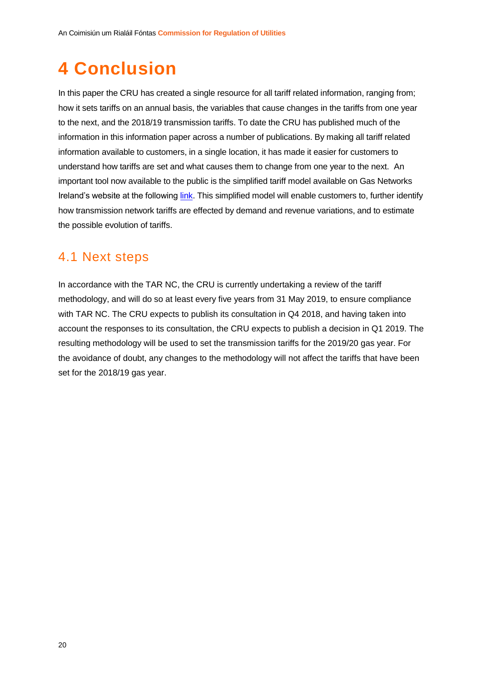# <span id="page-20-0"></span>**4 Conclusion**

In this paper the CRU has created a single resource for all tariff related information, ranging from; how it sets tariffs on an annual basis, the variables that cause changes in the tariffs from one year to the next, and the 2018/19 transmission tariffs. To date the CRU has published much of the information in this information paper across a number of publications. By making all tariff related information available to customers, in a single location, it has made it easier for customers to understand how tariffs are set and what causes them to change from one year to the next. An important tool now available to the public is the simplified tariff model available on Gas Networks Ireland's website at the following [link.](https://www.gasnetworks.ie/corporate/gas-regulation/tariffs/transmission-tariffs/simplified-tariff-model/) This simplified model will enable customers to, further identify how transmission network tariffs are effected by demand and revenue variations, and to estimate the possible evolution of tariffs.

### <span id="page-20-1"></span>4.1 Next steps

In accordance with the TAR NC, the CRU is currently undertaking a review of the tariff methodology, and will do so at least every five years from 31 May 2019, to ensure compliance with TAR NC. The CRU expects to publish its consultation in Q4 2018, and having taken into account the responses to its consultation, the CRU expects to publish a decision in Q1 2019. The resulting methodology will be used to set the transmission tariffs for the 2019/20 gas year. For the avoidance of doubt, any changes to the methodology will not affect the tariffs that have been set for the 2018/19 gas year.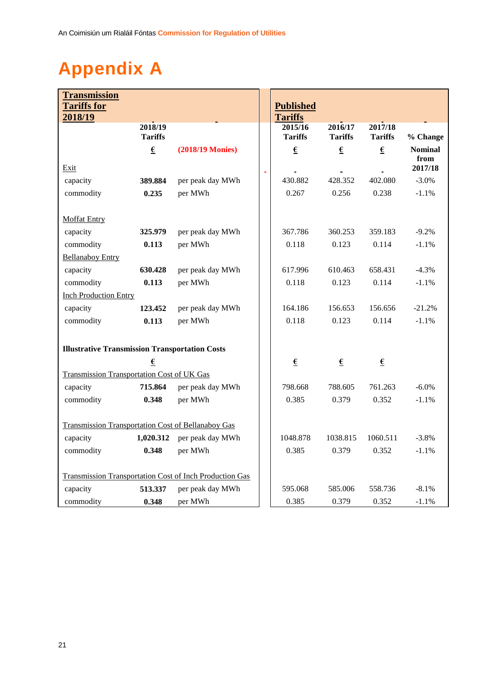# <span id="page-21-0"></span>**Appendix A**

| <b>Transmission</b><br><b>Tariffs for</b>                  |                           |                         |  | <b>Published</b>          |                           |                           |                        |
|------------------------------------------------------------|---------------------------|-------------------------|--|---------------------------|---------------------------|---------------------------|------------------------|
| 2018/19                                                    |                           |                         |  | <b>Tariffs</b>            |                           |                           |                        |
|                                                            | 2018/19<br><b>Tariffs</b> |                         |  | 2015/16<br><b>Tariffs</b> | 2016/17<br><b>Tariffs</b> | 2017/18<br><b>Tariffs</b> | % Change               |
|                                                            | €                         | <b>(2018/19 Monies)</b> |  | €                         | €                         | €                         | <b>Nominal</b><br>from |
| Exit                                                       |                           |                         |  |                           |                           |                           | 2017/18                |
| capacity                                                   | 389.884                   | per peak day MWh        |  | 430.882                   | 428.352                   | 402.080                   | $-3.0\%$               |
| commodity                                                  | 0.235                     | per MWh                 |  | 0.267                     | 0.256                     | 0.238                     | $-1.1%$                |
| <b>Moffat Entry</b>                                        |                           |                         |  |                           |                           |                           |                        |
| capacity                                                   | 325.979                   | per peak day MWh        |  | 367.786                   | 360.253                   | 359.183                   | $-9.2%$                |
| commodity                                                  | 0.113                     | per MWh                 |  | 0.118                     | 0.123                     | 0.114                     | $-1.1%$                |
| <b>Bellanaboy Entry</b>                                    |                           |                         |  |                           |                           |                           |                        |
| capacity                                                   | 630.428                   | per peak day MWh        |  | 617.996                   | 610.463                   | 658.431                   | $-4.3%$                |
| commodity                                                  | 0.113                     | per MWh                 |  | 0.118                     | 0.123                     | 0.114                     | $-1.1%$                |
| <b>Inch Production Entry</b>                               |                           |                         |  |                           |                           |                           |                        |
| capacity                                                   | 123.452                   | per peak day MWh        |  | 164.186                   | 156.653                   | 156.656                   | $-21.2%$               |
| commodity                                                  | 0.113                     | per MWh                 |  | 0.118                     | 0.123                     | 0.114                     | $-1.1%$                |
|                                                            |                           |                         |  |                           |                           |                           |                        |
| <b>Illustrative Transmission Transportation Costs</b><br>€ |                           |                         |  | $\underline{\epsilon}$    | $\pmb{\epsilon}$          | €                         |                        |
| <b>Transmission Transportation Cost of UK Gas</b>          |                           |                         |  |                           |                           |                           |                        |
| capacity                                                   | 715.864                   | per peak day MWh        |  | 798.668                   | 788.605                   | 761.263                   | $-6.0\%$               |
| commodity                                                  | 0.348                     | per MWh                 |  | 0.385                     | 0.379                     | 0.352                     | $-1.1%$                |
|                                                            |                           |                         |  |                           |                           |                           |                        |
| <b>Transmission Transportation Cost of Bellanaboy Gas</b>  |                           |                         |  |                           |                           |                           |                        |
| capacity                                                   | 1,020.312                 | per peak day MWh        |  | 1048.878                  | 1038.815                  | 1060.511                  | $-3.8%$                |
| commodity                                                  | 0.348                     | per MWh                 |  | 0.385                     | 0.379                     | 0.352                     | $-1.1%$                |
|                                                            |                           |                         |  |                           |                           |                           |                        |
| Transmission Transportation Cost of Inch Production Gas    |                           |                         |  |                           |                           |                           |                        |
| capacity                                                   | 513.337                   | per peak day MWh        |  | 595.068                   | 585.006                   | 558.736                   | $-8.1%$                |
| commodity                                                  | 0.348                     | per MWh                 |  | 0.385                     | 0.379                     | 0.352                     | $-1.1%$                |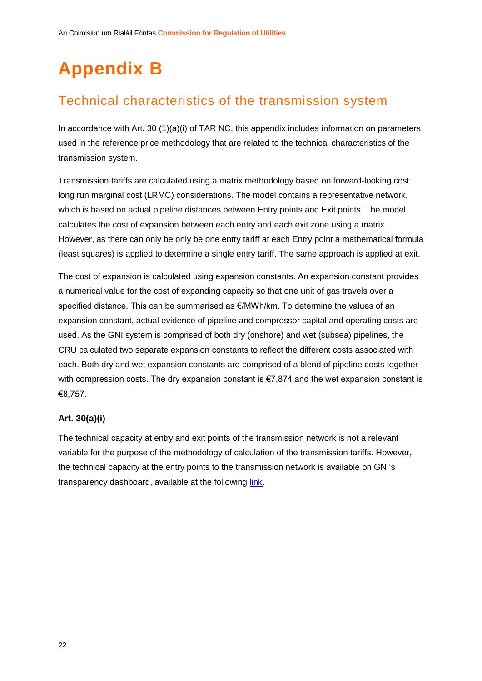# <span id="page-22-0"></span>**Appendix B**

### <span id="page-22-1"></span>Technical characteristics of the transmission system

In accordance with Art. 30 (1)(a)(i) of TAR NC, this appendix includes information on parameters used in the reference price methodology that are related to the technical characteristics of the transmission system.

Transmission tariffs are calculated using a matrix methodology based on forward-looking cost long run marginal cost (LRMC) considerations. The model contains a representative network, which is based on actual pipeline distances between Entry points and Exit points. The model calculates the cost of expansion between each entry and each exit zone using a matrix. However, as there can only be only be one entry tariff at each Entry point a mathematical formula (least squares) is applied to determine a single entry tariff. The same approach is applied at exit.

The cost of expansion is calculated using expansion constants. An expansion constant provides a numerical value for the cost of expanding capacity so that one unit of gas travels over a specified distance. This can be summarised as €/MWh/km. To determine the values of an expansion constant, actual evidence of pipeline and compressor capital and operating costs are used. As the GNI system is comprised of both dry (onshore) and wet (subsea) pipelines, the CRU calculated two separate expansion constants to reflect the different costs associated with each. Both dry and wet expansion constants are comprised of a blend of pipeline costs together with compression costs. The dry expansion constant is €7,874 and the wet expansion constant is €8,757.

#### <span id="page-22-2"></span>**Art. 30(a)(i)**

The technical capacity at entry and exit points of the transmission network is not a relevant variable for the purpose of the methodology of calculation of the transmission tariffs. However, the technical capacity at the entry points to the transmission network is available on GNI's transparency dashboard, available at the following [link.](https://www.gasnetworks.ie/corporate/gas-regulation/transparency-and-publicat/dashboard-reporting/)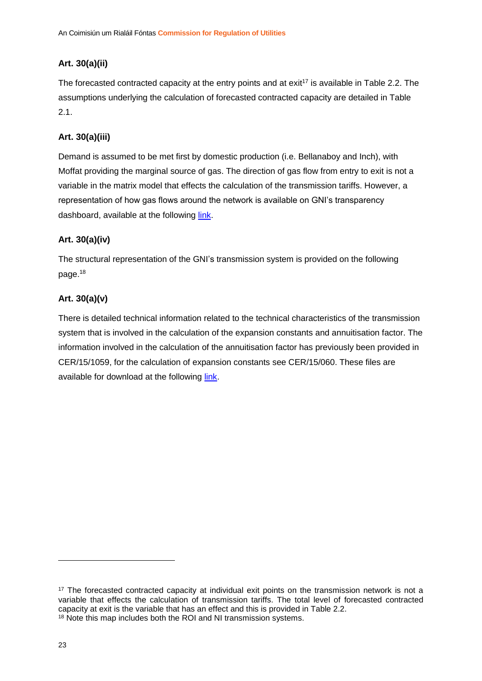#### <span id="page-23-0"></span>**Art. 30(a)(ii)**

The forecasted contracted capacity at the entry points and at exit<sup>17</sup> is available in [Table 2.2.](#page-13-0) The assumptions underlying the calculation of forecasted contracted capacity are detailed in [Table](#page-12-0)  [2.1.](#page-12-0)

#### <span id="page-23-1"></span>**Art. 30(a)(iii)**

Demand is assumed to be met first by domestic production (i.e. Bellanaboy and Inch), with Moffat providing the marginal source of gas. The direction of gas flow from entry to exit is not a variable in the matrix model that effects the calculation of the transmission tariffs. However, a representation of how gas flows around the network is available on GNI's transparency dashboard, available at the following [link.](https://www.gasnetworks.ie/corporate/gas-regulation/transparency-and-publicat/dashboard-reporting/)

#### <span id="page-23-2"></span>**Art. 30(a)(iv)**

The structural representation of the GNI's transmission system is provided on the following page. 18

#### <span id="page-23-3"></span>**Art. 30(a)(v)**

There is detailed technical information related to the technical characteristics of the transmission system that is involved in the calculation of the expansion constants and annuitisation factor. The information involved in the calculation of the annuitisation factor has previously been provided in CER/15/1059, for the calculation of expansion constants see CER/15/060. These files are available for download at the following [link.](https://www.cru.ie/document_group/gas-entry-exit-tariff-methodology/)

<sup>&</sup>lt;sup>17</sup> The forecasted contracted capacity at individual exit points on the transmission network is not a variable that effects the calculation of transmission tariffs. The total level of forecasted contracted capacity at exit is the variable that has an effect and this is provided in Table 2.2. <sup>18</sup> Note this map includes both the ROI and NI transmission systems.